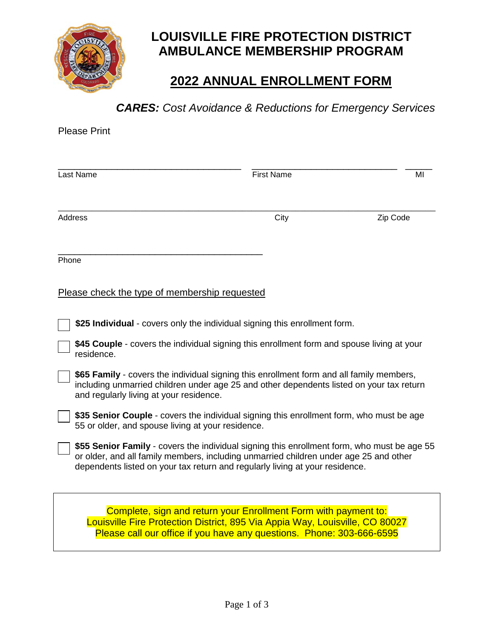

# **LOUISVILLE FIRE PROTECTION DISTRICT AMBULANCE MEMBERSHIP PROGRAM**

## **2022 ANNUAL ENROLLMENT FORM**

### *CARES: Cost Avoidance & Reductions for Emergency Services*

| <b>Please Print</b>                                                                                                                                                                                                                                                  |                   |          |
|----------------------------------------------------------------------------------------------------------------------------------------------------------------------------------------------------------------------------------------------------------------------|-------------------|----------|
| Last Name                                                                                                                                                                                                                                                            | <b>First Name</b> | ΜI       |
| <b>Address</b>                                                                                                                                                                                                                                                       | City              | Zip Code |
| Phone                                                                                                                                                                                                                                                                |                   |          |
| Please check the type of membership requested                                                                                                                                                                                                                        |                   |          |
| \$25 Individual - covers only the individual signing this enrollment form.                                                                                                                                                                                           |                   |          |
| \$45 Couple - covers the individual signing this enrollment form and spouse living at your<br>residence.                                                                                                                                                             |                   |          |
| \$65 Family - covers the individual signing this enrollment form and all family members,<br>including unmarried children under age 25 and other dependents listed on your tax return<br>and regularly living at your residence.                                      |                   |          |
| \$35 Senior Couple - covers the individual signing this enrollment form, who must be age<br>55 or older, and spouse living at your residence.                                                                                                                        |                   |          |
| \$55 Senior Family - covers the individual signing this enrollment form, who must be age 55<br>or older, and all family members, including unmarried children under age 25 and other<br>dependents listed on your tax return and regularly living at your residence. |                   |          |
| Complete, sign and return your Enrollment Form with payment to:<br>Louisville Fire Protection District, 895 Via Appia Way, Louisville, CO 80027<br>Please call our office if you have any questions. Phone: 303-666-6595                                             |                   |          |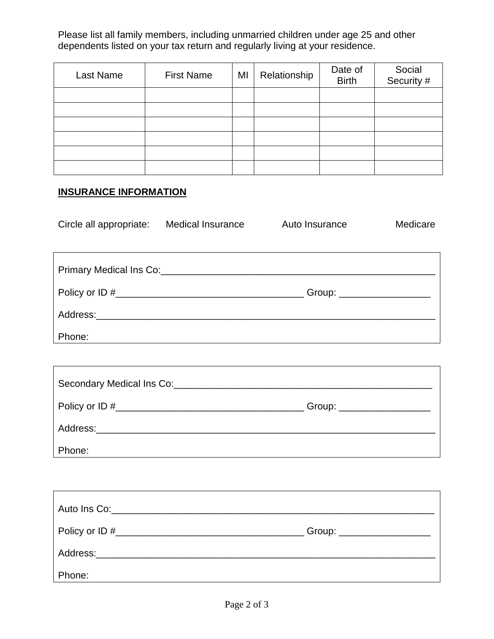Please list all family members, including unmarried children under age 25 and other dependents listed on your tax return and regularly living at your residence.

| Last Name | <b>First Name</b> | MI | Relationship | Date of<br><b>Birth</b> | Social<br>Security # |
|-----------|-------------------|----|--------------|-------------------------|----------------------|
|           |                   |    |              |                         |                      |
|           |                   |    |              |                         |                      |
|           |                   |    |              |                         |                      |
|           |                   |    |              |                         |                      |
|           |                   |    |              |                         |                      |
|           |                   |    |              |                         |                      |

#### **INSURANCE INFORMATION**

 $\Gamma$ 

| Circle all appropriate:                                                                                                                                                                                                        | Medical Insurance | Auto Insurance              | Medicare |
|--------------------------------------------------------------------------------------------------------------------------------------------------------------------------------------------------------------------------------|-------------------|-----------------------------|----------|
|                                                                                                                                                                                                                                |                   |                             |          |
|                                                                                                                                                                                                                                |                   |                             |          |
| Primary Medical Ins Co: Campannic Contract Contract Contract Contract Contract Contract Contract Contract Contract Contract Contract Contract Contract Contract Contract Contract Contract Contract Contract Contract Contract |                   |                             |          |
|                                                                                                                                                                                                                                |                   | Group: ____________________ |          |
| Address: Andreas Address:                                                                                                                                                                                                      |                   |                             |          |
| Phone:                                                                                                                                                                                                                         |                   |                             |          |
|                                                                                                                                                                                                                                |                   |                             |          |

| Secondary Medical Ins Co:                                                                                                                                                                                                      |                           |
|--------------------------------------------------------------------------------------------------------------------------------------------------------------------------------------------------------------------------------|---------------------------|
|                                                                                                                                                                                                                                | Group: __________________ |
| Address: Analysis and the set of the set of the set of the set of the set of the set of the set of the set of the set of the set of the set of the set of the set of the set of the set of the set of the set of the set of th |                           |
| Phone:                                                                                                                                                                                                                         |                           |

٦

| Auto Ins Co: the contract of the contract of the contract of the contract of the contract of the contract of the contract of the contract of the contract of the contract of the contract of the contract of the contract of t |                            |
|--------------------------------------------------------------------------------------------------------------------------------------------------------------------------------------------------------------------------------|----------------------------|
|                                                                                                                                                                                                                                | Group: ___________________ |
|                                                                                                                                                                                                                                |                            |
| Phone:                                                                                                                                                                                                                         |                            |